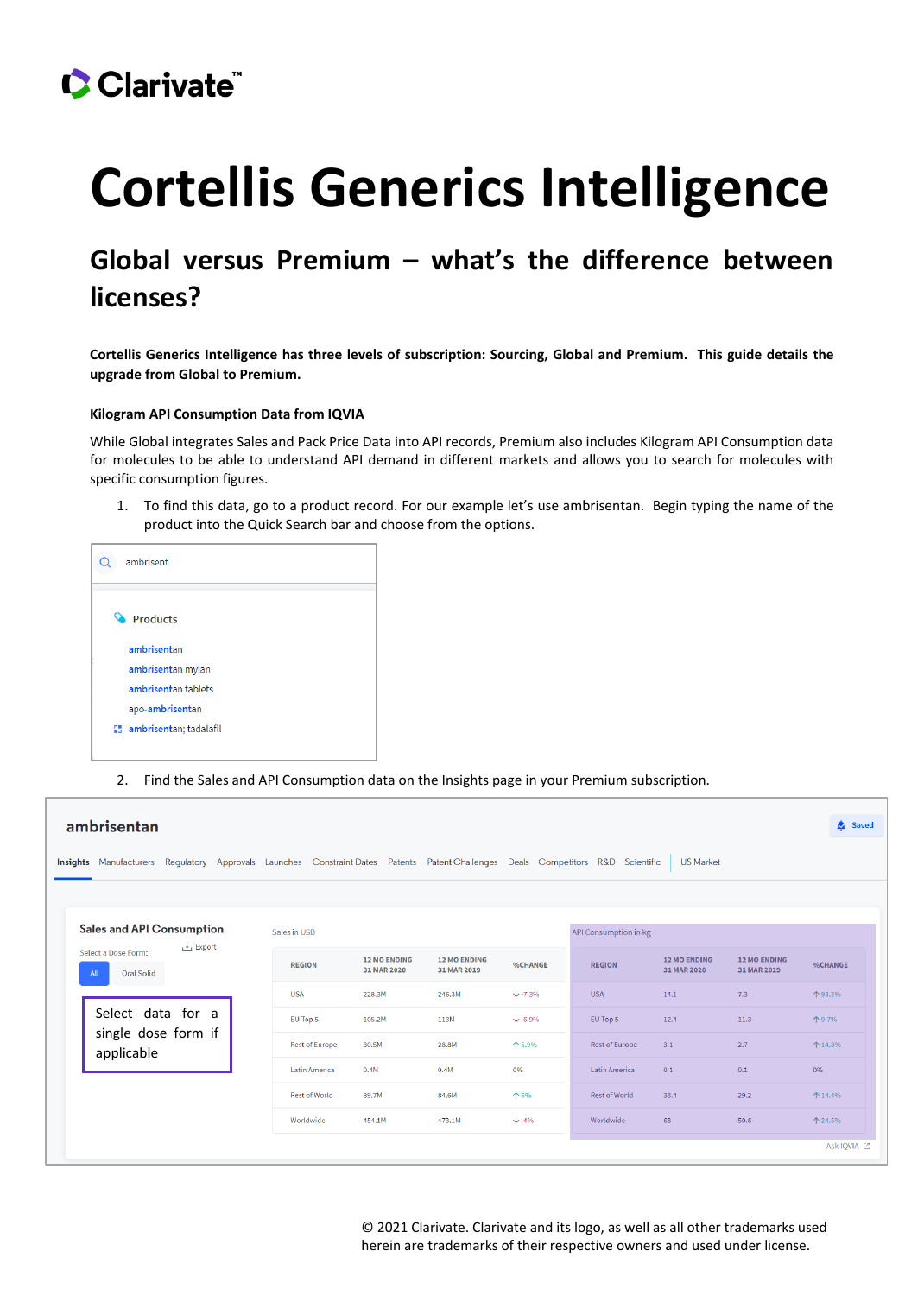## Clarivate

# **Cortellis Generics Intelligence**

### **Global versus Premium – what's the difference between licenses?**

**Cortellis Generics Intelligence has three levels of subscription: Sourcing, Global and Premium. This guide details the upgrade from Global to Premium.**

#### **Kilogram API Consumption Data from IQVIA**

While Global integrates Sales and Pack Price Data into API records, Premium also includes Kilogram API Consumption data for molecules to be able to understand API demand in different markets and allows you to search for molecules with specific consumption figures.

1. To find this data, go to a product record. For our example let's use ambrisentan. Begin typing the name of the product into the Quick Search bar and choose from the options.

| ambrisent              |
|------------------------|
| Products               |
| ambrisentan            |
| ambrisentan mylan      |
| ambrisentan tablets    |
| apo-ambrisentan        |
| ambrisentan; tadalafil |
|                        |

2. Find the Sales and API Consumption data on the Insights page in your Premium subscription.

| ambrisentan                                                                                                                                          |                       |                                    |                                    |                |                       |                                    |                                    |                |  |
|------------------------------------------------------------------------------------------------------------------------------------------------------|-----------------------|------------------------------------|------------------------------------|----------------|-----------------------|------------------------------------|------------------------------------|----------------|--|
| <b>US Market</b><br>Insights Manufacturers Regulatory Approvals Launches Constraint Dates Patents Patent Challenges Deals Competitors R&D Scientific |                       |                                    |                                    |                |                       |                                    |                                    |                |  |
|                                                                                                                                                      |                       |                                    |                                    |                |                       |                                    |                                    |                |  |
| <b>Sales and API Consumption</b><br>$L$ Export                                                                                                       | Sales in USD          |                                    |                                    |                | API Consumption in kg |                                    |                                    |                |  |
| Select a Dose Form:<br><b>Oral Solid</b><br>All                                                                                                      | <b>REGION</b>         | <b>12 MO ENDING</b><br>31 MAR 2020 | <b>12 MO ENDING</b><br>31 MAR 2019 | %CHANGE        | <b>REGION</b>         | <b>12 MO ENDING</b><br>31 MAR 2020 | <b>12 MO ENDING</b><br>31 MAR 2019 | <b>%CHANGE</b> |  |
| Select data for a                                                                                                                                    | <b>USA</b>            | 228.3M                             | 246.3M                             | $+\cdot 7.3\%$ | <b>USA</b>            | 14.1                               | 7.3                                | 个93.2%         |  |
|                                                                                                                                                      | EU Top 5              | 105.2M                             | 113M                               | $+\cdot 6.9\%$ | EU Top 5              | 12.4                               | 11.3                               | 个9.7%          |  |
| single dose form if<br>applicable                                                                                                                    | <b>Rest of Europe</b> | 30.5M                              | 28.8M                              | 个5.9%          | <b>Rest of Europe</b> | 3.1                                | 2.7                                | $+ 14.8%$      |  |
|                                                                                                                                                      | <b>Latin America</b>  | 0.4M                               | 0.4M                               | 0%             | <b>Latin America</b>  | 0.1                                | 0.1                                | 0%             |  |
|                                                                                                                                                      | <b>Rest of World</b>  | 89.7M                              | 84.6M                              | 个 6%           | <b>Rest of World</b>  | 33.4                               | 29.2                               | $+ 14.4%$      |  |
|                                                                                                                                                      | Worldwide             | 454.1M                             | 473.1M                             | $\sqrt{-4\%}$  | Worldwide             | 63                                 | 50.6                               | 个 24.5%        |  |
|                                                                                                                                                      |                       |                                    |                                    |                |                       |                                    |                                    | Ask IOVIA [2]  |  |

© 2021 Clarivate. Clarivate and its logo, as well as all other trademarks used herein are trademarks of their respective owners and used under license.